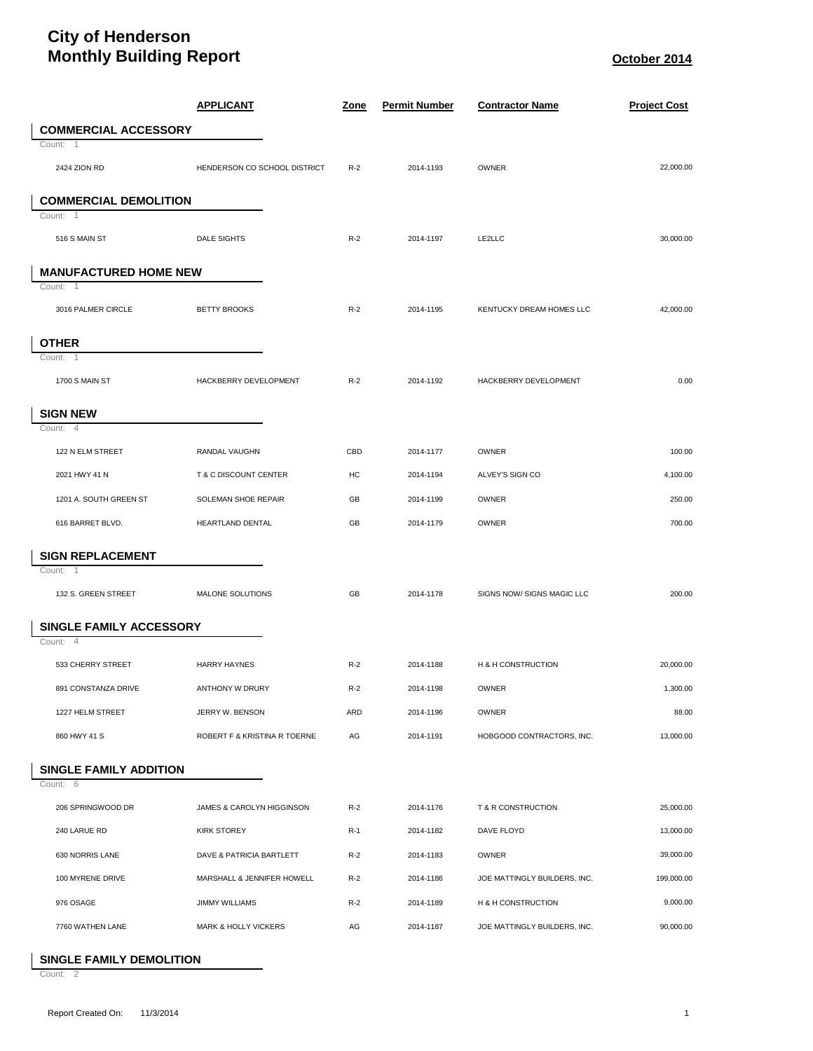## **City of Henderson Monthly Building Report CONSERVING ASSESSMENT REPORT October 2014**

|                                | <b>APPLICANT</b>                | <u>Zone</u> | <b>Permit Number</b> | <b>Contractor Name</b>       | <b>Project Cost</b> |
|--------------------------------|---------------------------------|-------------|----------------------|------------------------------|---------------------|
| <b>COMMERCIAL ACCESSORY</b>    |                                 |             |                      |                              |                     |
| Count: 1                       |                                 |             |                      |                              |                     |
| 2424 ZION RD                   | HENDERSON CO SCHOOL DISTRICT    | $R-2$       | 2014-1193            | OWNER                        | 22,000.00           |
| <b>COMMERCIAL DEMOLITION</b>   |                                 |             |                      |                              |                     |
| Count: 1                       |                                 |             |                      |                              |                     |
| 516 S MAIN ST                  | <b>DALE SIGHTS</b>              | $R-2$       | 2014-1197            | LE2LLC                       | 30,000.00           |
| <b>MANUFACTURED HOME NEW</b>   |                                 |             |                      |                              |                     |
| Count: 1                       |                                 |             |                      |                              |                     |
| 3016 PALMER CIRCLE             | <b>BETTY BROOKS</b>             | $R-2$       | 2014-1195            | KENTUCKY DREAM HOMES LLC     | 42,000.00           |
| <b>OTHER</b>                   |                                 |             |                      |                              |                     |
| Count:<br>$\overline{1}$       |                                 |             |                      |                              |                     |
| 1700 S MAIN ST                 | HACKBERRY DEVELOPMENT           | $R-2$       | 2014-1192            | HACKBERRY DEVELOPMENT        | 0.00                |
| <b>SIGN NEW</b>                |                                 |             |                      |                              |                     |
| Count: 4                       |                                 |             |                      |                              |                     |
| 122 N ELM STREET               | RANDAL VAUGHN                   | CBD         | 2014-1177            | OWNER                        | 100.00              |
| 2021 HWY 41 N                  | T & C DISCOUNT CENTER           | HC          | 2014-1194            | ALVEY'S SIGN CO              | 4,100.00            |
| 1201 A. SOUTH GREEN ST         | SOLEMAN SHOE REPAIR             | GB          | 2014-1199            | <b>OWNER</b>                 | 250.00              |
| 616 BARRET BLVD.               | HEARTLAND DENTAL                | GB          | 2014-1179            | OWNER                        | 700.00              |
| <b>SIGN REPLACEMENT</b>        |                                 |             |                      |                              |                     |
| Count:<br>-1                   |                                 |             |                      |                              |                     |
| 132 S. GREEN STREET            | MALONE SOLUTIONS                | GB          | 2014-1178            | SIGNS NOW/ SIGNS MAGIC LLC   | 200.00              |
| <b>SINGLE FAMILY ACCESSORY</b> |                                 |             |                      |                              |                     |
| Count: 4                       |                                 |             |                      |                              |                     |
| 533 CHERRY STREET              | <b>HARRY HAYNES</b>             | $R-2$       | 2014-1188            | H & H CONSTRUCTION           | 20,000.00           |
| 891 CONSTANZA DRIVE            | ANTHONY W DRURY                 | $R-2$       | 2014-1198            | OWNER                        | 1,300.00            |
| 1227 HELM STREET               | JERRY W. BENSON                 | ARD         | 2014-1196            | <b>OWNER</b>                 | 88.00               |
| 860 HWY 41 S                   | ROBERT F & KRISTINA R TOERNE    | AG          | 2014-1191            | HOBGOOD CONTRACTORS, INC.    | 13,000.00           |
| <b>SINGLE FAMILY ADDITION</b>  |                                 |             |                      |                              |                     |
| Count: 6                       |                                 |             |                      |                              |                     |
| 206 SPRINGWOOD DR              | JAMES & CAROLYN HIGGINSON       | $R-2$       | 2014-1176            | T & R CONSTRUCTION           | 25,000.00           |
| 240 LARUE RD                   | <b>KIRK STOREY</b>              | $R-1$       | 2014-1182            | DAVE FLOYD                   | 13,000.00           |
| 630 NORRIS LANE                | DAVE & PATRICIA BARTLETT        | $R-2$       | 2014-1183            | <b>OWNER</b>                 | 39,000.00           |
| 100 MYRENE DRIVE               | MARSHALL & JENNIFER HOWELL      | $R-2$       | 2014-1186            | JOE MATTINGLY BUILDERS, INC. | 199,000.00          |
| 976 OSAGE                      | <b>JIMMY WILLIAMS</b>           | $R-2$       | 2014-1189            | H & H CONSTRUCTION           | 9,000.00            |
| 7760 WATHEN LANE               | <b>MARK &amp; HOLLY VICKERS</b> | AG          | 2014-1187            | JOE MATTINGLY BUILDERS, INC. | 90,000.00           |

## **SINGLE FAMILY DEMOLITION**

Count: 2

ı